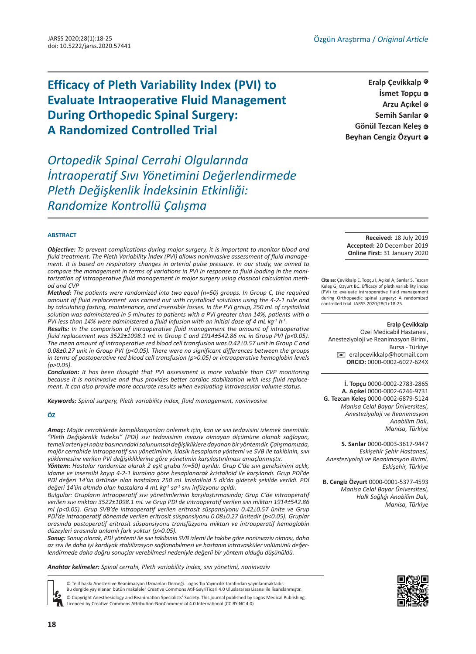# **Efficacy of Pleth Variability Index (PVI) to Evaluate Intraoperative Fluid Management During Orthopedic Spinal Surgery: A Randomized Controlled Trial**

*Ortopedik Spinal Cerrahi Olgularında İntraoperatif Sıvı Yönetimini Değerlendirmede Pleth Değişkenlik İndeksinin Etkinliği: Randomize Kontrollü Çalışma*

**Eralp Çevikkalp İsmet Topçu © Arzu Açıkel [ID](https://orcid.org/0000-0002-6246-9731) Semih Sarılar** © Gönül Tezcan Keleş **@ Beyhan Cengiz Özyurt [ID](https://orcid.org/0000-0001-5377-4593)**

#### **ABSTRACT**

*Objective: To prevent complications during major surgery, it is important to monitor blood and fluid treatment. The Pleth Variability İndex (PVI) allows noninvasive assessment of fluid management. It is based on respiratory changes in arterial pulse pressure. In our study, we aimed to compare the management in terms of variations in PVI in response to fluid loading in the monitorization of intraoperative fluid management in major surgery using classical calculation method and CVP* 

*Method: The patients were randomized into two equal (n=50) groups. In Group C, the required amount of fluid replacement was carried out with crystalloid solutions using the 4-2-1 rule and by calculating fasting, maintenance, and insensible losses. In the PVI group, 250 mL of crystalloid solution was administered in 5 minutes to patients with a PVI greater than 14%, patients with a PVI less than 14% were administered a fluid infusion with an initial dose of 4 mL kg-1 h-1.*

*Results: In the comparison of intraoperative fluid management the amount of intraoperative fluid replacement was 3522±1098.1 mL in Group C and 1914±542.86 mL in Group PVI (p<0.05). The mean amount of intraoperative red blood cell transfusion was 0.42±0.57 unit in Group C and 0.08±0.27 unit in Group PVI (p<0.05). There were no significant differences between the groups in terms of postoperative red blood cell transfusion (p>0.05) or intraoperative hemoglobin levels (p>0.05).*

*Conclusion: It has been thought that PVI assessment is more valuable than CVP monitoring because it is noninvasive and thus provides better cardiac stabilization with less fluid replacement. It can also provide more accurate results when evaluating intravascular volume status.*

*Keywords: Spinal surgery, Pleth variability index, fluid management, noninvasive*

#### **ÖZ**

*Amaç: Majör cerrahilerde komplikasyonları önlemek için, kan ve sıvı tedavisini izlemek önemlidir. "Pleth Değişkenlik İndeksi" (PDİ) sıvı tedavisinin invaziv olmayan ölçümüne olanak sağlayan, temeli arteriyel nabız basıncındaki solunumsal değişikliklere dayanan bir yöntemdir. Çalışmamızda, majör cerrahide intraoperatif sıvı yönetiminin, klasik hesaplama yöntemi ve SVB ile takibinin, sıvı yüklemesine verilen PVI değişikliklerine göre yönetimin karşılaştırılması amaçlanmıştır.*

*Yöntem: Hastalar randomize olarak 2 eşit gruba (n=50) ayrıldı. Grup C'de sıvı gereksinimi açlık, idame ve insensibl kayıp 4-2-1 kuralına göre hesaplanarak kristalloid ile karşılandı. Grup PDİ'de PDİ değeri 14'ün üstünde olan hastalara 250 mL kristalloid 5 dk'da gidecek şekilde verildi. PDİ değeri 14'ün altında olan hastalara 4 mL kg-1 sa-1 sıvı infüzyonu açıldı.*

*Bulgular: Grupların intraoperatif sıvı yönetimlerinin karşılaştırmasında; Grup C'de intraoperatif verilen sıvı miktarı 3522±1098.1 mL ve Grup PDİ de intraoperatif verilen sıvı miktarı 1914±542.86 ml (p<0.05). Grup SVB'de intraoperatif verilen eritrosit süspansiyonu 0.42±0.57 ünite ve Grup PDİ'de intraoperatif dönemde verilen eritrosit süspansiyonu 0.08±0.27 ünitedir (p<0.05). Gruplar arasında postoperatif eritrosit süspansiyonu transfüzyonu miktarı ve intraoperatif hemoglobin düzeyleri arasında anlamlı fark yoktur (p>0.05).* 

*Sonuç: Sonuç olarak, PDİ yöntemi ile sıvı takibinin SVB izlemi ile takibe göre noninvaziv olması, daha az sıvı ile daha iyi kardiyak stabilizasyon sağlanabilmesi ve hastanın intravasküler volümünü değerlendirmede daha doğru sonuçlar verebilmesi nedeniyle değerli bir yöntem olduğu düşünüldü.*

*Anahtar kelimeler: Spinal cerrahi, Pleth variability index, sıvı yönetimi, noninvaziv*

© Telif hakkı Anestezi ve Reanimasyon Uzmanları Derneği. Logos Tıp Yayıncılık tarafından yayınlanmaktadır.

Bu dergide yayınlanan bütün makaleler Creative Commons Atıf-GayriTicari 4.0 Uluslararası Lisansı ile lisanslanmıştır.

© Copyright Anesthesiology and Reanimation Specialists' Society. This journal published by Logos Medical Publishing. Licenced by Creative Commons Attribution-NonCommercial 4.0 International (CC BY-NC 4.0)

**Received:** 18 July 2019 **Accepted:** 20 December 2019 **Online First:** 31 January 2020

**Cite as:** Çevikkalp E, Topçu İ, Açıkel A, Sarılar S, Tezcan Keleş G, Özyurt BC. Efficacy of pleth variability index (PVI) to evaluate intraoperative fluid management during Orthopaedic spinal surgery: A randomized controlled trial. JARSS 2020;28(1):18-25.

#### **Eralp Çevikkalp**

Özel Medicabil Hastanesi, Anesteziyoloji ve Reanimasyon Birimi, Bursa - Türkiye [✉](mailto:eralpcevikkalp@hotmail.com) eralpcevikkalp@hotmail.com **ORCID:** 0000-0002-6027-624X

**İ. Topçu** 0000-0002-2783-2865 **A. Açıkel** 0000-0002-6246-9731 **G. Tezcan Keleş** 0000-0002-6879-5124 *Manisa Celal Bayar Üniversitesi, Anesteziyoloji ve Reanimasyon Anabilim Dalı, Manisa, Türkiye*

**S. Sarılar** 0000-0003-3617-9447 *Eskişehir Şehir Hastanesi, Anesteziyoloji ve Reanimasyon Birimi, Eskişehir, Türkiye*

**B. Cengiz Özyurt** 0000-0001-5377-4593 *Manisa Celal Bayar Üniversitesi, Halk Sağlığı Anabilim Dalı, Manisa, Türkiye*

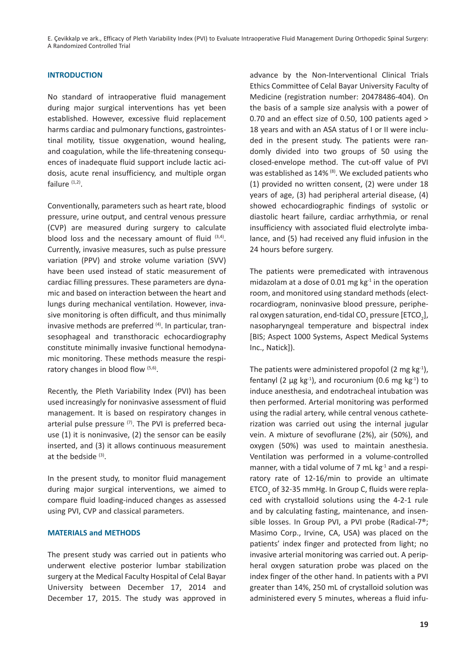E. Çevikkalp ve ark., Efficacy of Pleth Variability Index (PVI) to Evaluate Intraoperative Fluid Management During Orthopedic Spinal Surgery: A Randomized Controlled Trial

# **INTRODUCTION**

No standard of intraoperative fluid management during major surgical interventions has yet been established. However, excessive fluid replacement harms cardiac and pulmonary functions, gastrointestinal motility, tissue oxygenation, wound healing, and coagulation, while the life-threatening consequences of inadequate fluid support include lactic acidosis, acute renal insufficiency, and multiple organ failure  $(1,2)$ .

Conventionally, parameters such as heart rate, blood pressure, urine output, and central venous pressure (CVP) are measured during surgery to calculate blood loss and the necessary amount of fluid  $(3,4)$ . Currently, invasive measures, such as pulse pressure variation (PPV) and stroke volume variation (SVV) have been used instead of static measurement of cardiac filling pressures. These parameters are dynamic and based on interaction between the heart and lungs during mechanical ventilation. However, invasive monitoring is often difficult, and thus minimally invasive methods are preferred (4). In particular, transesophageal and transthoracic echocardiography constitute minimally invasive functional hemodynamic monitoring. These methods measure the respiratory changes in blood flow  $(5,6)$ .

Recently, the Pleth Variability Index (PVI) has been used increasingly for noninvasive assessment of fluid management. It is based on respiratory changes in arterial pulse pressure  $(7)$ . The PVI is preferred because (1) it is noninvasive, (2) the sensor can be easily inserted, and (3) it allows continuous measurement at the bedside  $(3)$ .

In the present study, to monitor fluid management during major surgical interventions, we aimed to compare fluid loading-induced changes as assessed using PVI, CVP and classical parameters.

## **MATERIALS and METHODS**

The present study was carried out in patients who underwent elective posterior lumbar stabilization surgery at the Medical Faculty Hospital of Celal Bayar University between December 17, 2014 and December 17, 2015. The study was approved in

advance by the Non-Interventional Clinical Trials Ethics Committee of Celal Bayar University Faculty of Medicine (registration number: 20478486-404). On the basis of a sample size analysis with a power of 0.70 and an effect size of 0.50, 100 patients aged > 18 years and with an ASA status of I or II were included in the present study. The patients were randomly divided into two groups of 50 using the closed-envelope method. The cut-off value of PVI was established as 14% (8). We excluded patients who (1) provided no written consent, (2) were under 18 years of age, (3) had peripheral arterial disease, (4) showed echocardiographic findings of systolic or diastolic heart failure, cardiac arrhythmia, or renal insufficiency with associated fluid electrolyte imbalance, and (5) had received any fluid infusion in the 24 hours before surgery.

The patients were premedicated with intravenous midazolam at a dose of 0.01 mg  $kg<sup>-1</sup>$  in the operation room, and monitored using standard methods (electrocardiogram, noninvasive blood pressure, peripheral oxygen saturation, end-tidal CO<sub>2</sub> pressure [ETCO<sub>2</sub>], nasopharyngeal temperature and bispectral index [BIS; Aspect 1000 Systems, Aspect Medical Systems Inc., Natick]).

The patients were administered propofol (2 mg  $kg^{-1}$ ), fentanyl (2  $\mu$ g kg<sup>-1</sup>), and rocuronium (0.6 mg kg<sup>-1</sup>) to induce anesthesia, and endotracheal intubation was then performed. Arterial monitoring was performed using the radial artery, while central venous catheterization was carried out using the internal jugular vein. A mixture of sevoflurane (2%), air (50%), and oxygen (50%) was used to maintain anesthesia. Ventilation was performed in a volume-controlled manner, with a tidal volume of  $7$  mL kg $^{-1}$  and a respiratory rate of 12-16/min to provide an ultimate  $ETCO<sub>2</sub>$  of 32-35 mmHg. In Group C, fluids were replaced with crystalloid solutions using the 4-2-1 rule and by calculating fasting, maintenance, and insensible losses. In Group PVI, a PVI probe (Radical-7®; Masimo Corp., Irvine, CA, USA) was placed on the patients' index finger and protected from light; no invasive arterial monitoring was carried out. A peripheral oxygen saturation probe was placed on the index finger of the other hand. In patients with a PVI greater than 14%, 250 mL of crystalloid solution was administered every 5 minutes, whereas a fluid infu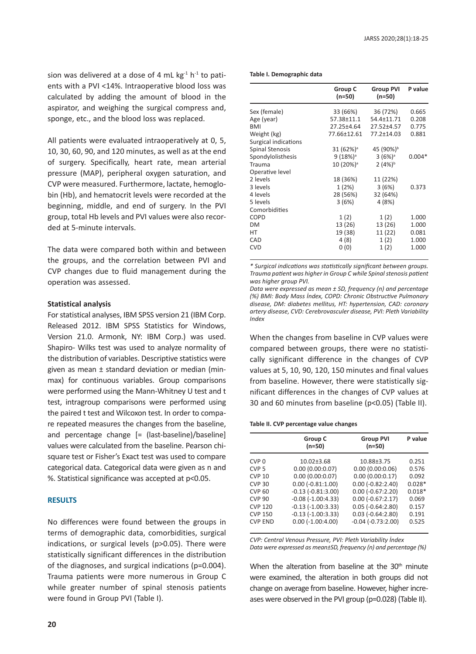sion was delivered at a dose of 4 mL  $kg<sup>-1</sup> h<sup>-1</sup>$  to patients with a PVI <14%. Intraoperative blood loss was calculated by adding the amount of blood in the aspirator, and weighing the surgical compress and, sponge, etc., and the blood loss was replaced.

All patients were evaluated intraoperatively at 0, 5, 10, 30, 60, 90, and 120 minutes, as well as at the end of surgery. Specifically, heart rate, mean arterial pressure (MAP), peripheral oxygen saturation, and CVP were measured. Furthermore, lactate, hemoglobin (Hb), and hematocrit levels were recorded at the beginning, middle, and end of surgery. In the PVI group, total Hb levels and PVI values were also recorded at 5-minute intervals.

The data were compared both within and between the groups, and the correlation between PVI and CVP changes due to fluid management during the operation was assessed.

## **Statistical analysis**

For statistical analyses, IBM SPSS version 21 (IBM Corp. Released 2012. IBM SPSS Statistics for Windows, Version 21.0. Armonk, NY: IBM Corp.) was used. Shapiro- Wilks test was used to analyze normality of the distribution of variables. Descriptive statistics were given as mean ± standard deviation or median (minmax) for continuous variables. Group comparisons were performed using the Mann-Whitney U test and t test, intragroup comparisons were performed using the paired t test and Wilcoxon test. In order to compare repeated measures the changes from the baseline, and percentage change [= (last-baseline)/baseline] values were calculated from the baseline. Pearson chisquare test or Fisher's Exact test was used to compare categorical data. Categorical data were given as n and %. Statistical significance was accepted at p<0.05.

## **RESULTS**

No differences were found between the groups in terms of demographic data, comorbidities, surgical indications, or surgical levels (p>0.05). There were statistically significant differences in the distribution of the diagnoses, and surgical indications (p=0.004). Trauma patients were more numerous in Group C while greater number of spinal stenosis patients were found in Group PVI (Table I).

**Table I. Demographic data**

|                        | Group C<br>(n=50)     | <b>Group PVI</b><br>(n=50) | P value  |
|------------------------|-----------------------|----------------------------|----------|
| Sex (female)           | 33 (66%)              | 36 (72%)                   | 0.665    |
| Age (year)             | 57.38±11.1            | 54.4±11.71                 | 0.208    |
| <b>BMI</b>             | 27.25±4.64            | 27.52±4.57                 | 0.775    |
| Weight (kg)            | 77.66±12.61           | 77.2±14.03                 | 0.881    |
| Surgical indications   |                       |                            |          |
| <b>Spinal Stenosis</b> | $31 (62\%)^3$         | 45 (90%) <sup>b</sup>      |          |
| Spondylolisthesis      | $9(18%)^3$            | $3(6%)^a$                  | $0.004*$ |
| Trauma                 | 10 (20%) <sup>a</sup> | $2(4%)^b$                  |          |
| Operative level        |                       |                            |          |
| 2 levels               | 18 (36%)              | 11 (22%)                   |          |
| 3 levels               | 1(2%)                 | 3(6%)                      | 0.373    |
| 4 levels               | 28 (56%)              | 32 (64%)                   |          |
| 5 levels               | 3(6%)                 | 4 (8%)                     |          |
| Comorbidities          |                       |                            |          |
| <b>COPD</b>            | 1(2)                  | 1(2)                       | 1.000    |
| <b>DM</b>              | 13 (26)               | 13 (26)                    | 1.000    |
| HT                     | 19 (38)               | 11 (22)                    | 0.081    |
| CAD                    | 4 (8)                 | 1(2)                       | 1.000    |
| <b>CVD</b>             | 0(0)                  | 1(2)                       | 1.000    |
|                        |                       |                            |          |

*\* Surgical indications was statistically significant between groups. Trauma patient was higher in Group C while Spinal stenosis patient was higher group PVI.* 

*Data were expressed as mean ± SD, frequency (n) and percentage (%) BMI: Body Mass İndex, COPD: Chronic Obstructive Pulmonary disease, DM: diabetes mellitus, HT: hypertension, CAD: coronary artery disease, CVD: Cerebrovasculer disease, PVI: Pleth Variability Index*

When the changes from baseline in CVP values were compared between groups, there were no statistically significant difference in the changes of CVP values at 5, 10, 90, 120, 150 minutes and final values from baseline. However, there were statistically significant differences in the changes of CVP values at 30 and 60 minutes from baseline (p<0.05) (Table II).

#### **Table II. CVP percentage value changes**

| P value                              |
|--------------------------------------|
| 0.251                                |
| 0.00(0.00:0.06)<br>0.576             |
| 0.00(0.00:0.17)<br>0.092             |
| $0.00$ ( $-0.82:2.40$ )<br>$0.028*$  |
| $0.00$ ( $-0.67$ : 2.20)<br>$0.018*$ |
| $0.00 (-0.67:2.17)$<br>0.069         |
| $0.05$ ( $-0.64$ : 2.80)<br>0.157    |
| $0.03$ ( $-0.64$ : 2.80)<br>0.191    |
| $-0.04$ $(-0.73:2.00)$<br>0.525      |
|                                      |

*CVP: Central Venous Pressure, PVI: Pleth Variability İndex Data were expressed as mean±SD, frequency (n) and percentage (%)*

When the alteration from baseline at the  $30<sup>th</sup>$  minute were examined, the alteration in both groups did not change on average from baseline. However, higher increases were observed in the PVI group (p=0.028) (Table II).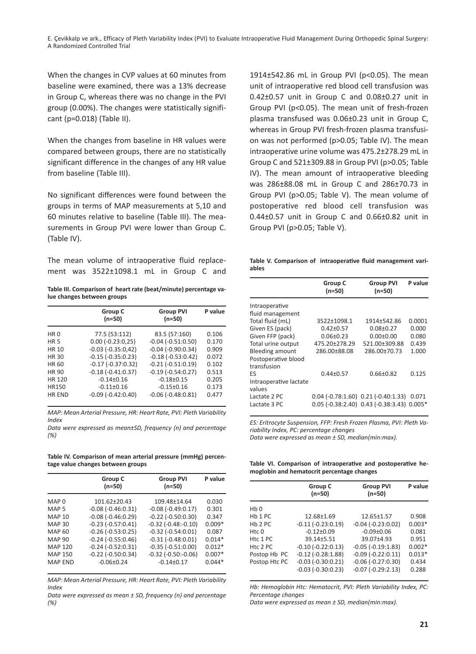When the changes in CVP values at 60 minutes from baseline were examined, there was a 13% decrease in Group C, whereas there was no change in the PVI group (0.00%). The changes were statistically significant (p=0.018) (Table II).

When the changes from baseline in HR values were compared between groups, there are no statistically significant difference in the changes of any HR value from baseline (Table III).

No significant differences were found between the groups in terms of MAP measurements at 5,10 and 60 minutes relative to baseline (Table III). The measurements in Group PVI were lower than Group C. (Table IV).

The mean volume of intraoperative fluid replacement was 3522±1098.1 mL in Group C and

| Table III. Comparison of heart rate (beat/minute) percentage va- |  |  |
|------------------------------------------------------------------|--|--|
| lue changes between groups                                       |  |  |

|                 | Group C<br>(n=50)        | <b>Group PVI</b><br>$(n=50)$ | P value |
|-----------------|--------------------------|------------------------------|---------|
| HR <sub>0</sub> | 77.5 (53:112)            | 83.5 (57:160)                | 0.106   |
| <b>HR5</b>      | $0.00 (-0.23:0.25)$      | $-0.04$ $(-0.51:0.50)$       | 0.170   |
| HR 10           | $-0.03$ $(-0.35:0.42)$   | $-0.04$ $(-0.90:0.34)$       | 0.909   |
| HR 30           | $-0.15$ ( $-0.35:0.23$ ) | $-0.18(-0.53:0.42)$          | 0.072   |
| HR 60           | $-0.17$ $(-0.37:0.32)$   | $-0.21$ $(-0.51:0.19)$       | 0.102   |
| HR 90           | $-0.18(-0.41:0.37)$      | $-0.19(-0.54:0.27)$          | 0.513   |
| HR 120          | $-0.14 \pm 0.16$         | $-0.18+0.15$                 | 0.205   |
| HR150           | $-0.11 \pm 0.16$         | $-0.15 \pm 0.16$             | 0.173   |
| <b>HR END</b>   | $-0.09$ $(-0.42:0.40)$   | $-0.06$ $(-0.48:0.81)$       | 0.477   |

*MAP: Mean Arterial Pressure, HR: Heart Rate, PVI: Pleth Variability Index*

*Data were expressed as mean±SD, frequency (n) and percentage (%)*

**Table IV. Comparison of mean arterial pressure (mmHg) percentage value changes between groups**

|                  | Group C<br>(n=50)        | <b>Group PVI</b><br>$(n=50)$  | P value  |
|------------------|--------------------------|-------------------------------|----------|
| MAP <sub>0</sub> | $101.62 + 20.43$         | 109.48±14.64                  | 0.030    |
| MAP <sub>5</sub> | $-0.08$ $(-0.46:0.31)$   | $-0.08$ $(-0.49:0.17)$        | 0.301    |
| <b>MAP 10</b>    | $-0.08$ $(-0.46:0.29)$   | $-0.22$ $(-0.50:0.30)$        | 0.347    |
| <b>MAP 30</b>    | $-0.23$ $(-0.57:0.41)$   | $-0.32$ ( $-0.48$ : $-0.10$ ) | $0.009*$ |
| MAP 60           | $-0.26$ ( $-0.53:0.25$ ) | $-0.32$ $(-0.54:0.01)$        | 0.087    |
| <b>MAP 90</b>    | $-0.24$ $(-0.55:0.46)$   | $-0.31 (-0.48:0.01)$          | $0.014*$ |
| <b>MAP 120</b>   | $-0.24$ $(-0.52:0.31)$   | $-0.35$ $(-0.51:0.00)$        | $0.012*$ |
| <b>MAP 150</b>   | $-0.22$ ( $-0.50:0.34$ ) | $-0.32$ $(-0.50:-0.06)$       | $0.007*$ |
| <b>MAP END</b>   | $-0.06 \pm 0.24$         | $-0.14+0.17$                  | $0.044*$ |
|                  |                          |                               |          |

*MAP: Mean Arterial Pressure, HR: Heart Rate, PVI: Pleth Variability Index*

*Data were expressed as mean ± SD, frequency (n) and percentage (%)*

1914±542.86 mL in Group PVI (p<0.05). The mean unit of intraoperative red blood cell transfusion was 0.42±0.57 unit in Group C and 0.08±0.27 unit in Group PVI (p<0.05). The mean unit of fresh-frozen plasma transfused was 0.06±0.23 unit in Group C, whereas in Group PVI fresh-frozen plasma transfusion was not performed (p>0.05; Table IV). The mean intraoperative urine volume was 475.2±278.29 mL in Group C and 521±309.88 in Group PVI (p>0.05; Table IV). The mean amount of intraoperative bleeding was 286±88.08 mL in Group C and 286±70.73 in Group PVI (p>0.05; Table V). The mean volume of postoperative red blood cell transfusion was 0.44±0.57 unit in Group C and 0.66±0.82 unit in Group PVI (p>0.05; Table V).

**Table V. Comparison of intraoperative fluid management variables**

| Group C<br>$(n=50)$ | <b>Group PVI</b><br>$(n=50)$ | P value                                                                                             |
|---------------------|------------------------------|-----------------------------------------------------------------------------------------------------|
|                     |                              |                                                                                                     |
|                     |                              |                                                                                                     |
| 3522+1098.1         | 1914+542.86                  | 0.0001                                                                                              |
| $0.42 + 0.57$       | $0.08 + 0.27$                | 0.000                                                                                               |
| $0.06 + 0.23$       | $0.00 + 0.00$                | 0.080                                                                                               |
| 475.20±278.29       | 521.00±309.88                | 0.439                                                                                               |
| 286.00±88.08        | 286.00±70.73                 | 1.000                                                                                               |
|                     |                              |                                                                                                     |
|                     |                              |                                                                                                     |
| $0.44 + 0.57$       | $0.66 \pm 0.82$              | 0.125                                                                                               |
|                     |                              |                                                                                                     |
|                     |                              |                                                                                                     |
|                     |                              | 0.071                                                                                               |
|                     |                              |                                                                                                     |
|                     |                              | $0.04$ ( $-0.78:1.60$ ) $0.21$ ( $-0.40:1.33$ )<br>$0.05$ (-0.38:2.40) $0.43$ (-0.38:3.43) $0.005*$ |

*ES: Eritrocyte Suspension, FFP: Fresh Frozen Plasma, PVI: Pleth Variability Index, PC: percentage changes Data were expressed as mean ± SD, median(min:max).*

**Table VI. Comparison of intraoperative and postoperative hemoglobin and hematocrit percentage changes**

|                             | Group C<br>$(n=50)$    | <b>Group PVI</b><br>$(n=50)$ | P value  |
|-----------------------------|------------------------|------------------------------|----------|
| H <sub>b</sub> <sub>0</sub> |                        |                              |          |
| Hb 1 PC                     | 12.68±1.69             | 12.65±1.57                   | 0.908    |
| Hb <sub>2</sub> PC          | $-0.11(-0.23:0.19)$    | $-0.04$ $(-0.23:0.02)$       | $0.003*$ |
| Htc 0                       | $-0.12 \pm 0.09$       | $-0.09 \pm 0.06$             | 0.081    |
| Htc 1 PC                    | $39.14 + 5.51$         | 39.07+4.93                   | 0.951    |
| H <sub>tc</sub> 2 PC        | $-0.10$ $(-0.22:0.13)$ | $-0.05(-0.19:1.83)$          | $0.002*$ |
| Postop Hb PC                | $-0.12$ $(-0.28:1.88)$ | $-0.09$ $(-0.22:0.11)$       | $0.013*$ |
| Postop Htc PC               | $-0.03$ $(-0.30:0.21)$ | $-0.06$ $(-0.27:0.30)$       | 0.434    |
|                             | $-0.03$ $(-0.30:0.23)$ | $-0.07(-0.29:2.13)$          | 0.288    |

*Hb: Hemoglobin Htc: Hematocrit, PVI: Pleth Variability Index, PC: Percentage changes*

*Data were expressed as mean ± SD, median(min:max).*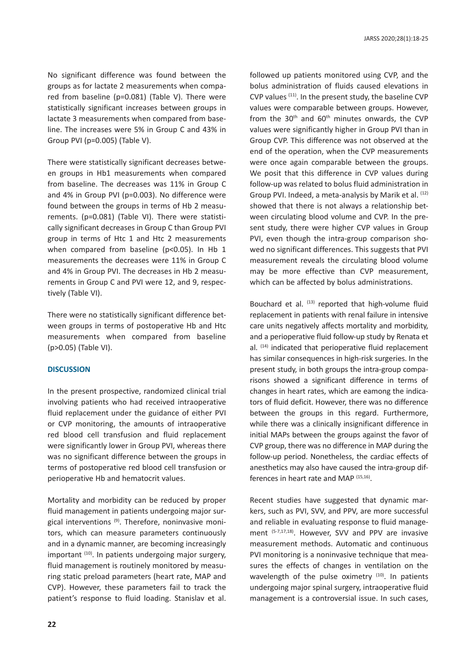No significant difference was found between the groups as for lactate 2 measurements when compared from baseline (p=0.081) (Table V). There were statistically significant increases between groups in lactate 3 measurements when compared from baseline. The increases were 5% in Group C and 43% in Group PVI (p=0.005) (Table V).

There were statistically significant decreases between groups in Hb1 measurements when compared from baseline. The decreases was 11% in Group C and 4% in Group PVI (p=0.003). No difference were found between the groups in terms of Hb 2 measurements. (p=0.081) (Table VI). There were statistically significant decreases in Group C than Group PVI group in terms of Htc 1 and Htc 2 measurements when compared from baseline (p<0.05). In Hb 1 measurements the decreases were 11% in Group C and 4% in Group PVI. The decreases in Hb 2 measurements in Group C and PVI were 12, and 9, respectively (Table VI).

There were no statistically significant difference between groups in terms of postoperative Hb and Htc measurements when compared from baseline (p>0.05) (Table VI).

## **DISCUSSION**

In the present prospective, randomized clinical trial involving patients who had received intraoperative fluid replacement under the guidance of either PVI or CVP monitoring, the amounts of intraoperative red blood cell transfusion and fluid replacement were significantly lower in Group PVI, whereas there was no significant difference between the groups in terms of postoperative red blood cell transfusion or perioperative Hb and hematocrit values.

Mortality and morbidity can be reduced by proper fluid management in patients undergoing major surgical interventions<sup>(9)</sup>. Therefore, noninvasive monitors, which can measure parameters continuously and in a dynamic manner, are becoming increasingly important  $(10)$ . In patients undergoing major surgery, fluid management is routinely monitored by measuring static preload parameters (heart rate, MAP and CVP). However, these parameters fail to track the patient's response to fluid loading. Stanislav et al.

followed up patients monitored using CVP, and the bolus administration of fluids caused elevations in CVP values (11). In the present study, the baseline CVP values were comparable between groups. However, from the 30<sup>th</sup> and 60<sup>th</sup> minutes onwards, the CVP values were significantly higher in Group PVI than in Group CVP. This difference was not observed at the end of the operation, when the CVP measurements were once again comparable between the groups. We posit that this difference in CVP values during follow-up was related to bolus fluid administration in Group PVI. Indeed, a meta-analysis by Marik et al. (12) showed that there is not always a relationship between circulating blood volume and CVP. In the present study, there were higher CVP values in Group PVI, even though the intra-group comparison showed no significant differences. This suggests that PVI measurement reveals the circulating blood volume may be more effective than CVP measurement, which can be affected by bolus administrations.

Bouchard et al.  $(13)$  reported that high-volume fluid replacement in patients with renal failure in intensive care units negatively affects mortality and morbidity, and a perioperative fluid follow-up study by Renata et al. (14) indicated that perioperative fluid replacement has similar consequences in high-risk surgeries. In the present study, in both groups the intra-group comparisons showed a significant difference in terms of changes in heart rates, which are eamong the indicators of fluid deficit. However, there was no difference between the groups in this regard. Furthermore, while there was a clinically insignificant difference in initial MAPs between the groups against the favor of CVP group, there was no difference in MAP during the follow-up period. Nonetheless, the cardiac effects of anesthetics may also have caused the intra-group differences in heart rate and MAP (15,16).

Recent studies have suggested that dynamic markers, such as PVI, SVV, and PPV, are more successful and reliable in evaluating response to fluid management (5-7,17,18). However, SVV and PPV are invasive measurement methods. Automatic and continuous PVI monitoring is a noninvasive technique that measures the effects of changes in ventilation on the wavelength of the pulse oximetry  $(10)$ . In patients undergoing major spinal surgery, intraoperative fluid management is a controversial issue. In such cases,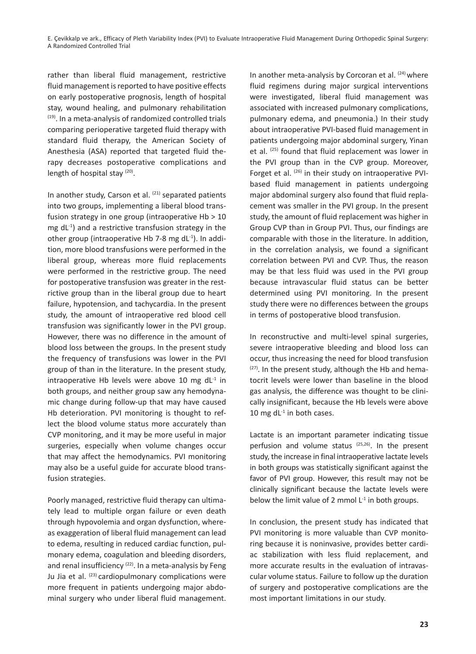rather than liberal fluid management, restrictive fluid management is reported to have positive effects on early postoperative prognosis, length of hospital stay, wound healing, and pulmonary rehabilitation (19). In a meta-analysis of randomized controlled trials comparing perioperative targeted fluid therapy with standard fluid therapy, the American Society of Anesthesia (ASA) reported that targeted fluid therapy decreases postoperative complications and length of hospital stay (20).

In another study, Carson et al. (21) separated patients into two groups, implementing a liberal blood transfusion strategy in one group (intraoperative Hb > 10 mg  $dL^{-1}$ ) and a restrictive transfusion strategy in the other group (intraoperative Hb 7-8 mg  $dL^{-1}$ ). In addition, more blood transfusions were performed in the liberal group, whereas more fluid replacements were performed in the restrictive group. The need for postoperative transfusion was greater in the restrictive group than in the liberal group due to heart failure, hypotension, and tachycardia. In the present study, the amount of intraoperative red blood cell transfusion was significantly lower in the PVI group. However, there was no difference in the amount of blood loss between the groups. In the present study the frequency of transfusions was lower in the PVI group of than in the literature. In the present study, intraoperative Hb levels were above 10 mg  $dL^{-1}$  in both groups, and neither group saw any hemodynamic change during follow-up that may have caused Hb deterioration. PVI monitoring is thought to reflect the blood volume status more accurately than CVP monitoring, and it may be more useful in major surgeries, especially when volume changes occur that may affect the hemodynamics. PVI monitoring may also be a useful guide for accurate blood transfusion strategies.

Poorly managed, restrictive fluid therapy can ultimately lead to multiple organ failure or even death through hypovolemia and organ dysfunction, whereas exaggeration of liberal fluid management can lead to edema, resulting in reduced cardiac function, pulmonary edema, coagulation and bleeding disorders, and renal insufficiency  $(22)$ . In a meta-analysis by Feng Ju Jia et al. <sup>(23)</sup> cardiopulmonary complications were more frequent in patients undergoing major abdominal surgery who under liberal fluid management.

In another meta-analysis by Corcoran et al. <sup>(24)</sup> where fluid regimens during major surgical interventions were investigated, liberal fluid management was associated with increased pulmonary complications, pulmonary edema, and pneumonia.) In their study about intraoperative PVI-based fluid management in patients undergoing major abdominal surgery, Yinan et al. (25) found that fluid replacement was lower in the PVI group than in the CVP group. Moreover, Forget et al. (26) in their study on intraoperative PVIbased fluid management in patients undergoing major abdominal surgery also found that fluid replacement was smaller in the PVI group. In the present study, the amount of fluid replacement was higher in Group CVP than in Group PVI. Thus, our findings are comparable with those in the literature. In addition, in the correlation analysis, we found a significant correlation between PVI and CVP. Thus, the reason may be that less fluid was used in the PVI group because intravascular fluid status can be better determined using PVI monitoring. In the present study there were no differences between the groups in terms of postoperative blood transfusion.

In reconstructive and multi-level spinal surgeries, severe intraoperative bleeding and blood loss can occur, thus increasing the need for blood transfusion  $(27)$ . In the present study, although the Hb and hematocrit levels were lower than baseline in the blood gas analysis, the difference was thought to be clinically insignificant, because the Hb levels were above 10 mg d $L<sup>-1</sup>$  in both cases.

Lactate is an important parameter indicating tissue perfusion and volume status (25,26). In the present study, the increase in final intraoperative lactate levels in both groups was statistically significant against the favor of PVI group. However, this result may not be clinically significant because the lactate levels were below the limit value of 2 mmol  $L<sup>1</sup>$  in both groups.

In conclusion, the present study has indicated that PVI monitoring is more valuable than CVP monitoring because it is noninvasive, provides better cardiac stabilization with less fluid replacement, and more accurate results in the evaluation of intravascular volume status. Failure to follow up the duration of surgery and postoperative complications are the most important limitations in our study.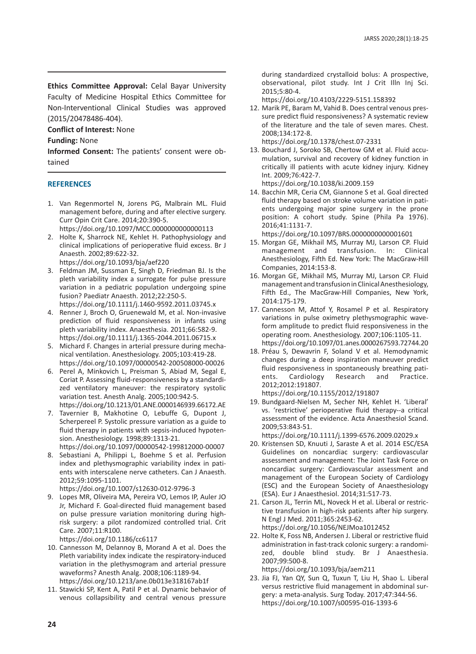**Ethics Committee Approval:** Celal Bayar University Faculty of Medicine Hospital Ethics Committee for Non-Interventional Clinical Studies was approved (2015/20478486-404).

# **Conflict of Interest:** None

#### **Funding:** None

**Informed Consent:** The patients' consent were obtained

## **REFERENCES**

- 1. Van Regenmortel N, Jorens PG, Malbrain ML. Fluid management before, during and after elective surgery. Curr Opin Crit Care. 2014;20:390-5. https://doi.org/10.1097/MCC.0000000000000113
- 2. Holte K, Sharrock NE, Kehlet H. Pathophysiology and clinical implications of perioperative fluid excess. Br J Anaesth. 2002;89:622-32. https://doi.org/10.1093/bja/aef220
- 3. Feldman JM, Sussman E, Singh D, Friedman BJ. Is the pleth variability index a surrogate for pulse pressure variation in a pediatric population undergoing spine fusion? Paediatr Anaesth. 2012;22:250-5. https://doi.org/10.1111/j.1460-9592.2011.03745.x
- 4. Renner J, Broch O, Gruenewald M, et al. Non-invasive prediction of fluid responsiveness in infants using pleth variability index. Anaesthesia. 2011;66:582-9.
- https://doi.org/10.1111/j.1365-2044.2011.06715.x 5. Michard F. Changes in arterial pressure during mecha-
- nical ventilation. Anesthesiology. 2005;103:419-28. https://doi.org/10.1097/00000542-200508000-00026
- 6. Perel A, Minkovich L, Preisman S, Abiad M, Segal E, Coriat P. Assessing fluid-responsiveness by a standardized ventilatory maneuver: the respiratory systolic variation test. Anesth Analg. 2005;100:942-5. https://doi.org/10.1213/01.ANE.0000146939.66172.AE
- 7. Tavernier B, Makhotine O, Lebuffe G, Dupont J, Scherpereel P. Systolic pressure variation as a guide to fluid therapy in patients with sepsis-induced hypotension. Anesthesiology. 1998;89:1313-21. https://doi.org/10.1097/00000542-199812000-00007
- 8. Sebastiani A, Philippi L, Boehme S et al. Perfusion index and plethysmographic variability index in patients with interscalene nerve catheters. Can J Anaesth. 2012;59:1095-1101.

https://doi.org/10.1007/s12630-012-9796-3

9. Lopes MR, Oliveira MA, Pereira VO, Lemos IP, Auler JO Jr, Michard F. Goal-directed fluid management based on pulse pressure variation monitoring during highrisk surgery: a pilot randomized controlled trial. Crit Care. 2007;11:R100.

https://doi.org/10.1186/cc6117

- 10. Cannesson M, Delannoy B, Morand A et al. Does the Pleth variability index indicate the respiratory-induced variation in the plethysmogram and arterial pressure waveforms? Anesth Analg. 2008;106:1189-94. https://doi.org/10.1213/ane.0b013e318167ab1f
- 11. Stawicki SP, Kent A, Patil P et al. Dynamic behavior of venous collapsibility and central venous pressure

during standardized crystalloid bolus: A prospective, observational, pilot study. Int J Crit Illn Inj Sci. 2015;5:80-4.

https://doi.org/10.4103/2229-5151.158392

12. Marik PE, Baram M, Vahid B. Does central venous pressure predict fluid responsiveness? A systematic review of the literature and the tale of seven mares. Chest. 2008;134:172-8.

https://doi.org/10.1378/chest.07-2331

13. Bouchard J, Soroko SB, Chertow GM et al. Fluid accumulation, survival and recovery of kidney function in critically ill patients with acute kidney injury. Kidney Int. 2009;76:422-7. https://doi.org/10.1038/ki.2009.159

14. Bacchin MR, Ceria CM, Giannone S et al. Goal directed fluid therapy based on stroke volume variation in patients undergoing major spine surgery in the prone position: A cohort study. Spine (Phila Pa 1976). 2016;41:1131-7.

https://doi.org/10.1097/BRS.0000000000001601

- 15. Morgan GE, Mikhail MS, Murray MJ, Larson CP. Fluid management and transfusion. In: Clinical Anesthesiology, Fifth Ed. New York: The MacGraw-Hill Companies, 2014:153-8.
- 16. Morgan GE, Mikhail MS, Murray MJ, Larson CP. Fluid management and transfusion in Clinical Anesthesiology, Fifth Ed., The MacGraw-Hill Companies, New York, 2014:175-179.
- 17. Cannesson M, Attof Y, Rosamel P et al. Respiratory variations in pulse oximetry plethysmographic waveform amplitude to predict fluid responsiveness in the operating room. Anesthesiology. 2007;106:1105-11. https://doi.org/10.1097/01.anes.0000267593.72744.20
- 18. Préau S, Dewavrin F, Soland V et al. Hemodynamic changes during a deep inspiration maneuver predict fluid responsiveness in spontaneously breathing patients. Cardiology Research and Practice. 2012;2012:191807. https://doi.org/10.1155/2012/191807
- 19. Bundgaard-Nielsen M, Secher NH, Kehlet H. 'Liberal' vs. 'restrictive' perioperative fluid therapy--a critical assessment of the evidence. Acta Anaesthesiol Scand. 2009;53:843-51.

https://doi.org/10.1111/j.1399-6576.2009.02029.x

- 20. Kristensen SD, Knuuti J, Saraste A et al. 2014 ESC/ESA Guidelines on noncardiac surgery: cardiovascular assessment and management: The Joint Task Force on noncardiac surgery: Cardiovascular assessment and management of the European Society of Cardiology (ESC) and the European Society of Anaesthesiology (ESA). Eur J Anaesthesiol. 2014;31:517-73.
- 21. Carson JL, Terrin ML, Noveck H et al. Liberal or restrictive transfusion in high-risk patients after hip surgery. N Engl J Med. 2011;365:2453-62. https://doi.org/10.1056/NEJMoa1012452
- 22. Holte K, Foss NB, Andersen J. Liberal or restrictive fluid administration in fast-track colonic surgery: a randomized, double blind study. Br J Anaesthesia. 2007;99:500-8.

https://doi.org/10.1093/bja/aem211

23. Jia FJ, Yan QY, Sun Q, Tuxun T, Liu H, Shao L. Liberal versus restrictive fluid management in abdominal surgery: a meta-analysis. Surg Today. 2017;47:344-56. https://doi.org/10.1007/s00595-016-1393-6